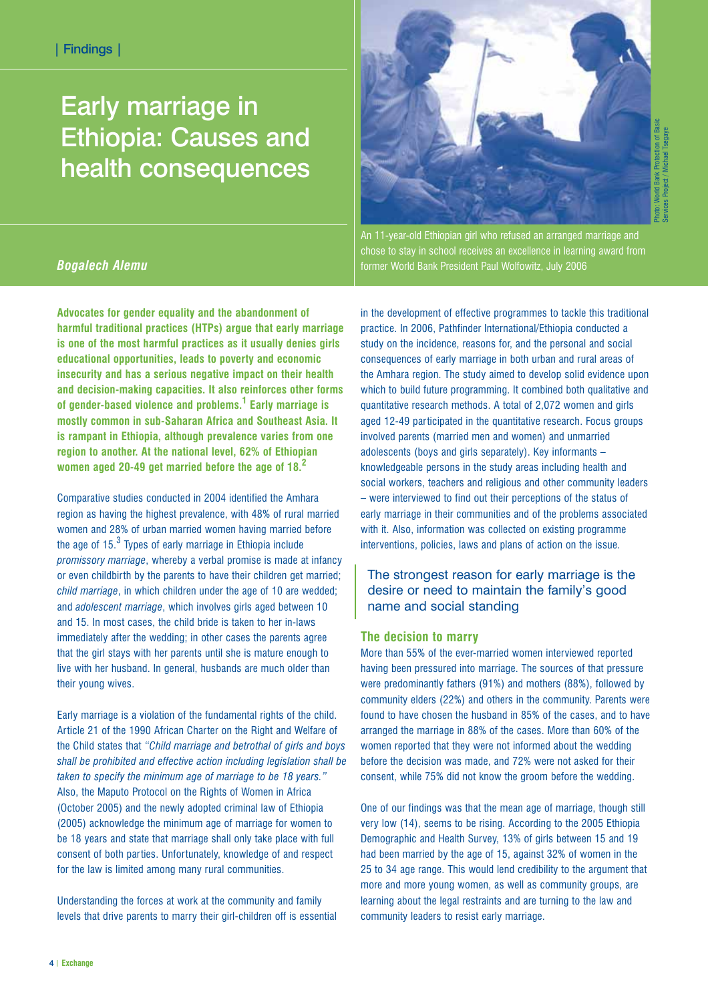# Early marriage in Ethiopia: Causes and health consequences



An 11-year-old Ethiopian girl who refused an arranged marriage and chose to stay in school receives an excellence in learning award from former World Bank President Paul Wolfowitz, July 2006

## *Bogalech Alemu*

**Advocates for gender equality and the abandonment of harmful traditional practices (HTPs) argue that early marriage is one of the most harmful practices as it usually denies girls educational opportunities, leads to poverty and economic insecurity and has a serious negative impact on their health and decision-making capacities. It also reinforces other forms of gender-based violence and problems.<sup>1</sup> Early marriage is mostly common in sub-Saharan Africa and Southeast Asia. It is rampant in Ethiopia, although prevalence varies from one region to another. At the national level, 62% of Ethiopian women aged 20-49 get married before the age of 18.<sup>2</sup>**

Comparative studies conducted in 2004 identified the Amhara region as having the highest prevalence, with 48% of rural married women and 28% of urban married women having married before the age of  $15<sup>3</sup>$  Types of early marriage in Ethiopia include *promissory marriage*, whereby a verbal promise is made at infancy or even childbirth by the parents to have their children get married; *child marriage*, in which children under the age of 10 are wedded; and *adolescent marriage*, which involves girls aged between 10 and 15. In most cases, the child bride is taken to her in-laws immediately after the wedding; in other cases the parents agree that the girl stays with her parents until she is mature enough to live with her husband. In general, husbands are much older than their young wives.

Early marriage is a violation of the fundamental rights of the child. Article 21 of the 1990 African Charter on the Right and Welfare of the Child states that *"Child marriage and betrothal of girls and boys shall be prohibited and effective action including legislation shall be taken to specify the minimum age of marriage to be 18 years."* Also, the Maputo Protocol on the Rights of Women in Africa (October 2005) and the newly adopted criminal law of Ethiopia (2005) acknowledge the minimum age of marriage for women to be 18 years and state that marriage shall only take place with full consent of both parties. Unfortunately, knowledge of and respect for the law is limited among many rural communities.

Understanding the forces at work at the community and family levels that drive parents to marry their girl-children off is essential in the development of effective programmes to tackle this traditional practice. In 2006, Pathfinder International/Ethiopia conducted a study on the incidence, reasons for, and the personal and social consequences of early marriage in both urban and rural areas of the Amhara region. The study aimed to develop solid evidence upon which to build future programming. It combined both qualitative and quantitative research methods. A total of 2,072 women and girls aged 12-49 participated in the quantitative research. Focus groups involved parents (married men and women) and unmarried adolescents (boys and girls separately). Key informants – knowledgeable persons in the study areas including health and social workers, teachers and religious and other community leaders – were interviewed to find out their perceptions of the status of early marriage in their communities and of the problems associated with it. Also, information was collected on existing programme interventions, policies, laws and plans of action on the issue.

## The strongest reason for early marriage is the desire or need to maintain the family's good name and social standing

## **The decision to marry**

More than 55% of the ever-married women interviewed reported having been pressured into marriage. The sources of that pressure were predominantly fathers (91%) and mothers (88%), followed by community elders (22%) and others in the community. Parents were found to have chosen the husband in 85% of the cases, and to have arranged the marriage in 88% of the cases. More than 60% of the women reported that they were not informed about the wedding before the decision was made, and 72% were not asked for their consent, while 75% did not know the groom before the wedding.

One of our findings was that the mean age of marriage, though still very low (14), seems to be rising. According to the 2005 Ethiopia Demographic and Health Survey, 13% of girls between 15 and 19 had been married by the age of 15, against 32% of women in the 25 to 34 age range. This would lend credibility to the argument that more and more young women, as well as community groups, are learning about the legal restraints and are turning to the law and community leaders to resist early marriage.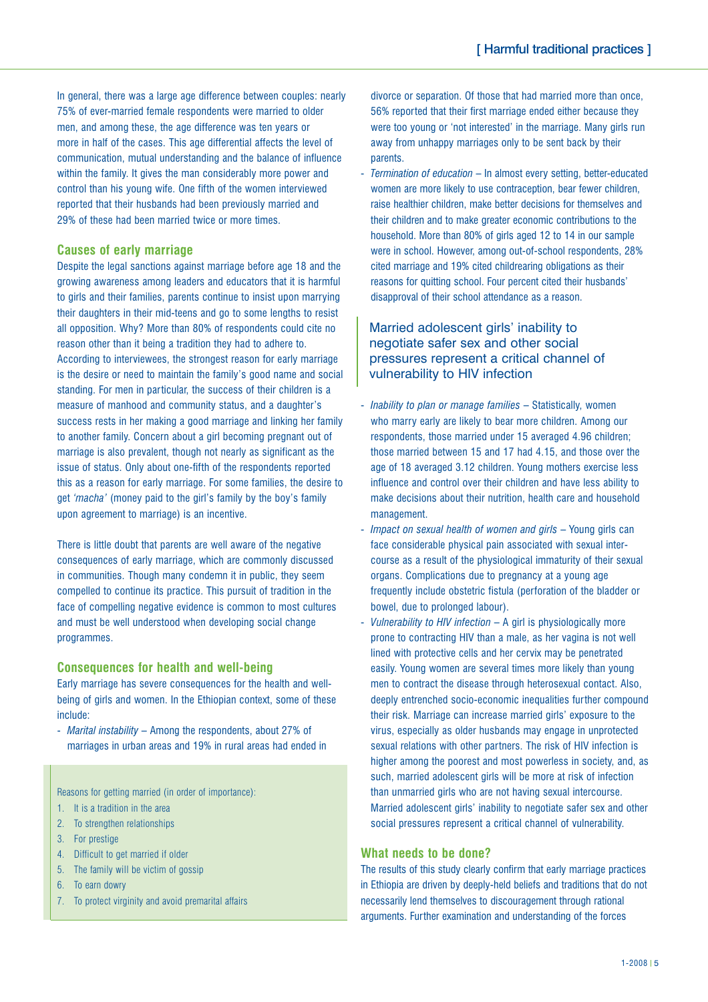In general, there was a large age difference between couples: nearly 75% of ever-married female respondents were married to older men, and among these, the age difference was ten years or more in half of the cases. This age differential affects the level of communication, mutual understanding and the balance of influence within the family. It gives the man considerably more power and control than his young wife. One fifth of the women interviewed reported that their husbands had been previously married and 29% of these had been married twice or more times.

## **Causes of early marriage**

Despite the legal sanctions against marriage before age 18 and the growing awareness among leaders and educators that it is harmful to girls and their families, parents continue to insist upon marrying their daughters in their mid-teens and go to some lengths to resist all opposition. Why? More than 80% of respondents could cite no reason other than it being a tradition they had to adhere to. According to interviewees, the strongest reason for early marriage is the desire or need to maintain the family's good name and social standing. For men in particular, the success of their children is a measure of manhood and community status, and a daughter's success rests in her making a good marriage and linking her family to another family. Concern about a girl becoming pregnant out of marriage is also prevalent, though not nearly as significant as the issue of status. Only about one-fifth of the respondents reported this as a reason for early marriage. For some families, the desire to get *'macha'* (money paid to the girl's family by the boy's family upon agreement to marriage) is an incentive.

There is little doubt that parents are well aware of the negative consequences of early marriage, which are commonly discussed in communities. Though many condemn it in public, they seem compelled to continue its practice. This pursuit of tradition in the face of compelling negative evidence is common to most cultures and must be well understood when developing social change programmes.

#### **Consequences for health and well-being**

Early marriage has severe consequences for the health and wellbeing of girls and women. In the Ethiopian context, some of these include:

- *Marital instability* – Among the respondents, about 27% of marriages in urban areas and 19% in rural areas had ended in

Reasons for getting married (in order of importance):

- 1. It is a tradition in the area
- 2. To strengthen relationships
- 3. For prestige
- 4. Difficult to get married if older
- 5. The family will be victim of gossip
- 6. To earn dowry
- 7. To protect virginity and avoid premarital affairs

divorce or separation. Of those that had married more than once, 56% reported that their first marriage ended either because they were too young or 'not interested' in the marriage. Many girls run away from unhappy marriages only to be sent back by their parents.

- *Termination of education* – In almost every setting, better-educated women are more likely to use contraception, bear fewer children, raise healthier children, make better decisions for themselves and their children and to make greater economic contributions to the household. More than 80% of girls aged 12 to 14 in our sample were in school. However, among out-of-school respondents, 28% cited marriage and 19% cited childrearing obligations as their reasons for quitting school. Four percent cited their husbands' disapproval of their school attendance as a reason.

## Married adolescent girls' inability to negotiate safer sex and other social pressures represent a critical channel of vulnerability to HIV infection

- *Inability to plan or manage families* Statistically, women who marry early are likely to bear more children. Among our respondents, those married under 15 averaged 4.96 children; those married between 15 and 17 had 4.15, and those over the age of 18 averaged 3.12 children. Young mothers exercise less influence and control over their children and have less ability to make decisions about their nutrition, health care and household management.
- *Impact on sexual health of women and girls*  Young girls can face considerable physical pain associated with sexual intercourse as a result of the physiological immaturity of their sexual organs. Complications due to pregnancy at a young age frequently include obstetric fistula (perforation of the bladder or bowel, due to prolonged labour).
- *Vulnerability to HIV infection* A girl is physiologically more prone to contracting HIV than a male, as her vagina is not well lined with protective cells and her cervix may be penetrated easily. Young women are several times more likely than young men to contract the disease through heterosexual contact. Also, deeply entrenched socio-economic inequalities further compound their risk. Marriage can increase married girls' exposure to the virus, especially as older husbands may engage in unprotected sexual relations with other partners. The risk of HIV infection is higher among the poorest and most powerless in society, and, as such, married adolescent girls will be more at risk of infection than unmarried girls who are not having sexual intercourse. Married adolescent girls' inability to negotiate safer sex and other social pressures represent a critical channel of vulnerability.

### **What needs to be done?**

The results of this study clearly confirm that early marriage practices in Ethiopia are driven by deeply-held beliefs and traditions that do not necessarily lend themselves to discouragement through rational arguments. Further examination and understanding of the forces